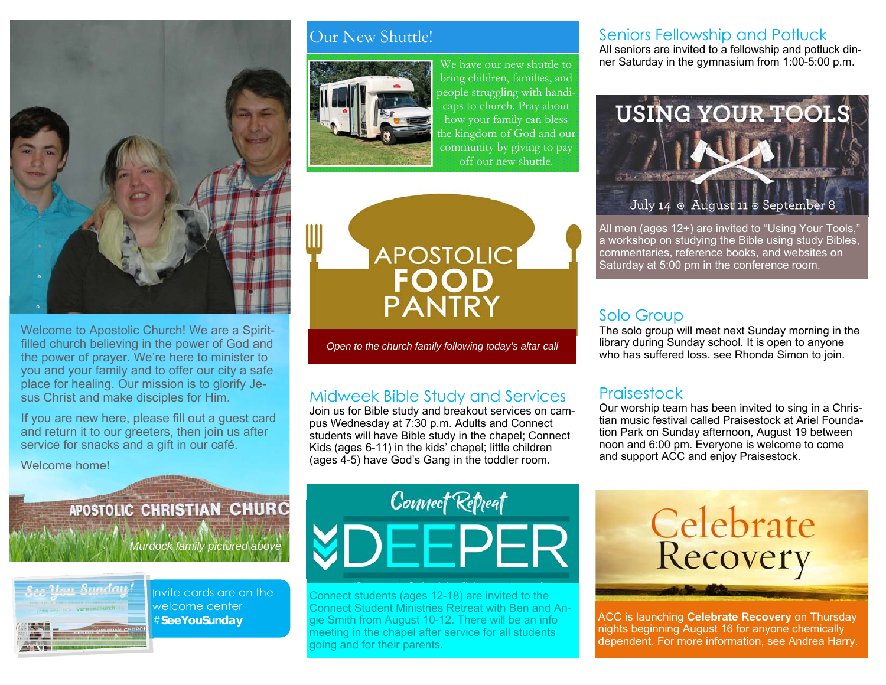

Welcome to Apostolic Church! We are a Spiritfilled church believing in the power of God and the power of prayer. We're here to minister to you and your family and to offer our city a safe place for healing. Our mission is to glorify Jesus Christ and make disciples for Him.

If you are new here, please fill out a guest card and return it to our greeters, then join us after service for snacks and a gift in our café.

Welcome home!

#### Our New Shuttle!



We have our new shuttle to bring children, families, and people struggling with handicaps to church. Pray about how your family can bless the kingdom of God and our community by giving to pay off our new shuttle.

**APOSTOLIC PANTRY** 

*Open to the church family following today's altar call* 

#### Midweek Bible Study and Services

Join us for Bible study and breakout services on campus Wednesday at 7:30 p.m. Adults and Connect students will have Bible study in the chapel; Connect Kids (ages 6-11) in the kids' chapel; little children (ages 4-5) have God's Gang in the toddler room.

#### Seniors Fellowship and Potluck

All seniors are invited to a fellowship and potluck dinner Saturday in the gymnasium from 1:00-5:00 p.m.



All men (ages 12+) are invited to "Using Your Tools," a workshop on studying the Bible using study Bibles, commentaries, reference books, and websites on Saturday at 5:00 pm in the conference room.

#### Solo Group

The solo group will meet next Sunday morning in the library during Sunday school. It is open to anyone who has suffered loss. see Rhonda Simon to join.

#### **Praisestock**

Our worship team has been invited to sing in a Christian music festival called Praisestock at Ariel Foundation Park on Sunday afternoon, August 19 between noon and 6:00 pm. Everyone is welcome to come and support ACC and enjoy Praisestock.

## APOSTOLIC CHRISTIAN CHURC

*Murdock family pictured above* 



Invite cards are on the welcome center #**SeeYouSunday** 

# Connect Retreat **YDEEPER**

Connect students (ages 12-18) are invited to the Connect Student Ministries Retreat with Ben and Angie Smith from August 10-12. There will be an info meeting in the chapel after service for all students going and for their parents.



ACC is launching **Celebrate Recovery** on Thursday nights beginning August 16 for anyone chemically dependent. For more information, see Andrea Harry.